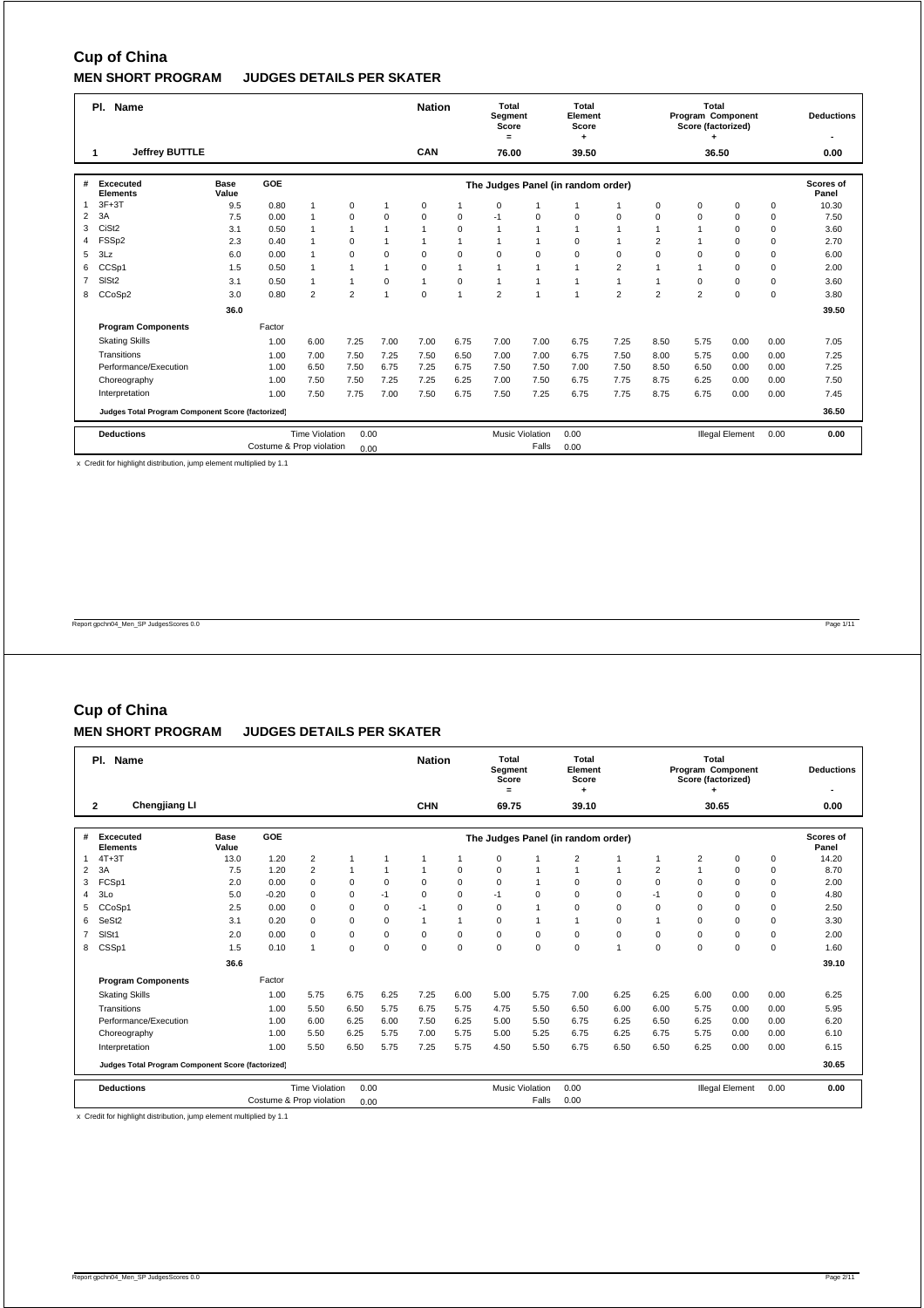|                | PI.<br>Name                                       |                      |                          |                       |                |                | <b>Nation</b>  |             | Total<br>Segment<br>Score<br>$=$ |                        | Total<br>Element<br>Score<br>٠     |                |                | <b>Total</b><br>Program Component<br>Score (factorized) |                        |      | <b>Deductions</b>  |
|----------------|---------------------------------------------------|----------------------|--------------------------|-----------------------|----------------|----------------|----------------|-------------|----------------------------------|------------------------|------------------------------------|----------------|----------------|---------------------------------------------------------|------------------------|------|--------------------|
|                | Jeffrey BUTTLE                                    |                      |                          |                       |                |                | CAN            |             | 76.00                            |                        | 39.50                              |                |                | 36.50                                                   |                        |      | 0.00               |
| #              | <b>Excecuted</b><br><b>Elements</b>               | <b>Base</b><br>Value | <b>GOE</b>               |                       |                |                |                |             |                                  |                        | The Judges Panel (in random order) |                |                |                                                         |                        |      | Scores of<br>Panel |
| 1              | $3F+3T$                                           | 9.5                  | 0.80                     | $\overline{1}$        | $\mathbf 0$    | $\overline{1}$ | $\mathbf 0$    | 1           | 0                                |                        | $\overline{1}$                     |                | $\Omega$       | 0                                                       | 0                      | 0    | 10.30              |
| 2              | 3A                                                | 7.5                  | 0.00                     | $\mathbf{1}$          | $\mathbf 0$    | $\mathbf 0$    | $\Omega$       | $\mathbf 0$ | $-1$                             | 0                      | $\mathbf 0$                        | $\mathbf 0$    | $\Omega$       | $\Omega$                                                | $\Omega$               | 0    | 7.50               |
| 3              | CiSt <sub>2</sub>                                 | 3.1                  | 0.50                     | $\mathbf{1}$          | $\mathbf{1}$   | $\overline{1}$ | $\overline{1}$ | $\mathbf 0$ | $\mathbf{1}$                     | $\mathbf{1}$           | $\mathbf{1}$                       | $\overline{1}$ |                |                                                         | $\Omega$               | 0    | 3.60               |
| 4              | FSS <sub>p2</sub>                                 | 2.3                  | 0.40                     | $\mathbf{1}$          | $\Omega$       | $\overline{1}$ |                | 1           | 1                                | 1                      | $\Omega$                           | $\overline{1}$ | $\overline{2}$ |                                                         | $\Omega$               | 0    | 2.70               |
| 5              | 3Lz                                               | 6.0                  | 0.00                     | $\overline{1}$        | $\mathbf 0$    | $\Omega$       | $\Omega$       | $\mathbf 0$ | 0                                | $\Omega$               | $\Omega$                           | $\Omega$       | $\Omega$       | $\Omega$                                                | $\Omega$               | 0    | 6.00               |
| 6              | CCSp1                                             | 1.5                  | 0.50                     | $\mathbf{1}$          | $\overline{1}$ | 1              | $\mathbf 0$    | 1           | $\mathbf{1}$                     | 1                      | $\mathbf{1}$                       | $\overline{2}$ |                |                                                         | $\Omega$               | 0    | 2.00               |
| $\overline{7}$ | SIS <sub>t2</sub>                                 | 3.1                  | 0.50                     | $\mathbf{1}$          | $\mathbf{1}$   | $\Omega$       | $\overline{1}$ | $\mathbf 0$ | $\mathbf{1}$                     | $\overline{1}$         | $\mathbf{1}$                       | $\mathbf{1}$   | $\mathbf{1}$   | $\mathbf 0$                                             | $\Omega$               | 0    | 3.60               |
| 8              | CCoSp2                                            | 3.0                  | 0.80                     | $\overline{2}$        | $\overline{2}$ | $\overline{1}$ | $\mathbf 0$    | 1           | $\overline{2}$                   | $\overline{1}$         | $\mathbf{1}$                       | $\overline{2}$ | $\overline{2}$ | $\overline{2}$                                          | $\Omega$               | 0    | 3.80               |
|                |                                                   | 36.0                 |                          |                       |                |                |                |             |                                  |                        |                                    |                |                |                                                         |                        |      | 39.50              |
|                | <b>Program Components</b>                         |                      | Factor                   |                       |                |                |                |             |                                  |                        |                                    |                |                |                                                         |                        |      |                    |
|                | <b>Skating Skills</b>                             |                      | 1.00                     | 6.00                  | 7.25           | 7.00           | 7.00           | 6.75        | 7.00                             | 7.00                   | 6.75                               | 7.25           | 8.50           | 5.75                                                    | 0.00                   | 0.00 | 7.05               |
|                | Transitions                                       |                      | 1.00                     | 7.00                  | 7.50           | 7.25           | 7.50           | 6.50        | 7.00                             | 7.00                   | 6.75                               | 7.50           | 8.00           | 5.75                                                    | 0.00                   | 0.00 | 7.25               |
|                | Performance/Execution                             |                      | 1.00                     | 6.50                  | 7.50           | 6.75           | 7.25           | 6.75        | 7.50                             | 7.50                   | 7.00                               | 7.50           | 8.50           | 6.50                                                    | 0.00                   | 0.00 | 7.25               |
|                | Choreography                                      |                      | 1.00                     | 7.50                  | 7.50           | 7.25           | 7.25           | 6.25        | 7.00                             | 7.50                   | 6.75                               | 7.75           | 8.75           | 6.25                                                    | 0.00                   | 0.00 | 7.50               |
|                | Interpretation                                    |                      | 1.00                     | 7.50                  | 7.75           | 7.00           | 7.50           | 6.75        | 7.50                             | 7.25                   | 6.75                               | 7.75           | 8.75           | 6.75                                                    | 0.00                   | 0.00 | 7.45               |
|                | Judges Total Program Component Score (factorized) |                      |                          |                       |                |                |                |             |                                  |                        |                                    |                |                |                                                         |                        |      | 36.50              |
|                | <b>Deductions</b>                                 |                      |                          | <b>Time Violation</b> | 0.00           |                |                |             |                                  | <b>Music Violation</b> | 0.00                               |                |                |                                                         | <b>Illegal Element</b> | 0.00 | 0.00               |
|                |                                                   |                      | Costume & Prop violation |                       | 0.00           |                |                |             |                                  | Falls                  | 0.00                               |                |                |                                                         |                        |      |                    |

x Credit for highlight distribution, jump element multiplied by 1.1

Report gpchn04\_Men\_SP JudgesScores 0.0 Page 1/11

# **Cup of China**

### **MEN SHORT PROGRAM JUDGES DETAILS PER SKATER**

|                | PI.<br>Name                                       |                      |                          |                       |              |              |              |                | Total<br>Segment<br>Score<br>$=$ |                        | Total<br>Element<br>Score          |              |                | Total<br>Program Component<br>Score (factorized) |                        |             | <b>Deductions</b>         |
|----------------|---------------------------------------------------|----------------------|--------------------------|-----------------------|--------------|--------------|--------------|----------------|----------------------------------|------------------------|------------------------------------|--------------|----------------|--------------------------------------------------|------------------------|-------------|---------------------------|
|                | <b>Chengjiang LI</b><br>$\mathbf{2}$              |                      |                          |                       |              |              | <b>CHN</b>   |                | 69.75                            |                        | 39.10                              |              |                | 30.65                                            |                        |             | 0.00                      |
| #              | <b>Excecuted</b><br><b>Elements</b>               | <b>Base</b><br>Value | <b>GOE</b>               |                       |              |              |              |                |                                  |                        | The Judges Panel (in random order) |              |                |                                                  |                        |             | <b>Scores of</b><br>Panel |
| 1              | $4T+3T$                                           | 13.0                 | 1.20                     | $\overline{2}$        | 1            | 1            | $\mathbf{1}$ | -1             | $\mathbf 0$                      |                        | $\overline{2}$                     | 1            |                | 2                                                | $\mathbf 0$            | $\mathbf 0$ | 14.20                     |
| 2              | 3A                                                | 7.5                  | 1.20                     | $\overline{2}$        | $\mathbf{1}$ | $\mathbf{1}$ | $\mathbf{1}$ | 0              | $\mathbf 0$                      |                        | 1                                  | $\mathbf{1}$ | $\overline{2}$ | $\overline{1}$                                   | $\Omega$               | $\mathbf 0$ | 8.70                      |
| 3              | FCSp1                                             | 2.0                  | 0.00                     | $\Omega$              | $\mathbf 0$  | $\Omega$     | $\Omega$     | $\mathbf 0$    | $\mathsf 0$                      |                        | $\Omega$                           | $\Omega$     | $\Omega$       | $\Omega$                                         | $\Omega$               | $\mathbf 0$ | 2.00                      |
| 4              | 3Lo                                               | 5.0                  | $-0.20$                  | $\Omega$              | 0            | $-1$         | $\mathbf 0$  | $\mathbf 0$    | $-1$                             | $\Omega$               | $\Omega$                           | $\mathbf 0$  | $-1$           | $\Omega$                                         | $\mathbf 0$            | $\mathbf 0$ | 4.80                      |
| 5              | CCoSp1                                            | 2.5                  | 0.00                     | $\Omega$              | 0            | $\Omega$     | $-1$         | $\mathbf 0$    | $\mathbf 0$                      |                        | $\Omega$                           | $\Omega$     | $\Omega$       | $\Omega$                                         | $\mathbf 0$            | $\mathbf 0$ | 2.50                      |
| 6              | SeSt <sub>2</sub>                                 | 3.1                  | 0.20                     | $\Omega$              | 0            | $\Omega$     | $\mathbf{1}$ | $\overline{1}$ | $\mathbf 0$                      |                        |                                    | $\Omega$     |                | $\Omega$                                         | $\Omega$               | $\mathbf 0$ | 3.30                      |
| $\overline{7}$ | SISt1                                             | 2.0                  | 0.00                     | $\Omega$              | $\mathbf 0$  | $\Omega$     | $\Omega$     | $\mathbf 0$    | $\mathbf 0$                      | $\mathbf 0$            | $\Omega$                           | $\Omega$     | $\Omega$       | $\Omega$                                         | $\Omega$               | $\mathbf 0$ | 2.00                      |
| 8              | CSSp1                                             | 1.5                  | 0.10                     | 1                     | $\mathbf 0$  | $\mathbf 0$  | 0            | 0              | $\mathbf 0$                      | $\mathbf 0$            | $\mathbf 0$                        | $\mathbf{1}$ | $\mathbf 0$    | $\mathbf 0$                                      | $\mathbf 0$            | $\mathbf 0$ | 1.60                      |
|                |                                                   | 36.6                 |                          |                       |              |              |              |                |                                  |                        |                                    |              |                |                                                  |                        |             | 39.10                     |
|                | <b>Program Components</b>                         |                      | Factor                   |                       |              |              |              |                |                                  |                        |                                    |              |                |                                                  |                        |             |                           |
|                | <b>Skating Skills</b>                             |                      | 1.00                     | 5.75                  | 6.75         | 6.25         | 7.25         | 6.00           | 5.00                             | 5.75                   | 7.00                               | 6.25         | 6.25           | 6.00                                             | 0.00                   | 0.00        | 6.25                      |
|                | Transitions                                       |                      | 1.00                     | 5.50                  | 6.50         | 5.75         | 6.75         | 5.75           | 4.75                             | 5.50                   | 6.50                               | 6.00         | 6.00           | 5.75                                             | 0.00                   | 0.00        | 5.95                      |
|                | Performance/Execution                             |                      | 1.00                     | 6.00                  | 6.25         | 6.00         | 7.50         | 6.25           | 5.00                             | 5.50                   | 6.75                               | 6.25         | 6.50           | 6.25                                             | 0.00                   | 0.00        | 6.20                      |
|                | Choreography                                      |                      | 1.00                     | 5.50                  | 6.25         | 5.75         | 7.00         | 5.75           | 5.00                             | 5.25                   | 6.75                               | 6.25         | 6.75           | 5.75                                             | 0.00                   | 0.00        | 6.10                      |
|                | Interpretation                                    |                      | 1.00                     | 5.50                  | 6.50         | 5.75         | 7.25         | 5.75           | 4.50                             | 5.50                   | 6.75                               | 6.50         | 6.50           | 6.25                                             | 0.00                   | 0.00        | 6.15                      |
|                | Judges Total Program Component Score (factorized) |                      |                          |                       |              |              |              |                |                                  |                        |                                    |              |                |                                                  |                        |             | 30.65                     |
|                | <b>Deductions</b>                                 |                      |                          | <b>Time Violation</b> | 0.00         |              |              |                |                                  | <b>Music Violation</b> | 0.00                               |              |                |                                                  | <b>Illegal Element</b> | 0.00        | 0.00                      |
|                |                                                   |                      | Costume & Prop violation |                       | 0.00         |              |              |                |                                  | Falls                  | 0.00                               |              |                |                                                  |                        |             |                           |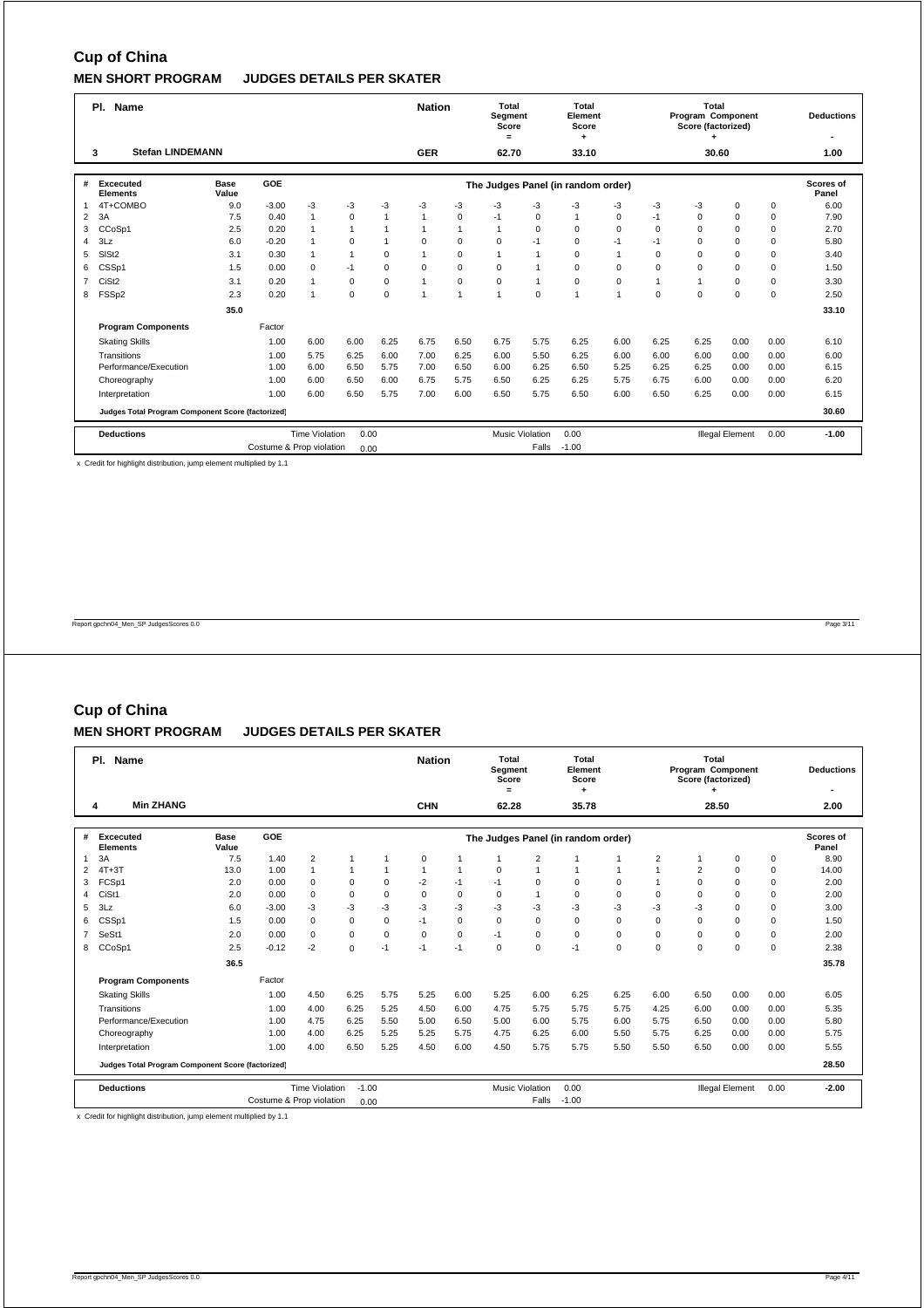|                | PI.<br>Name                                       |                      |                          |                       |              |             | <b>Nation</b>  |              | <b>Total</b><br>Segment<br>Score<br>$=$ |                        | Total<br>Element<br>Score<br>٠     |                |          | <b>Total</b><br>Program Component<br>Score (factorized) |                        |      | <b>Deductions</b>  |
|----------------|---------------------------------------------------|----------------------|--------------------------|-----------------------|--------------|-------------|----------------|--------------|-----------------------------------------|------------------------|------------------------------------|----------------|----------|---------------------------------------------------------|------------------------|------|--------------------|
|                | <b>Stefan LINDEMANN</b><br>3                      |                      |                          |                       |              |             | <b>GER</b>     |              | 62.70                                   |                        | 33.10                              |                |          | 30.60                                                   |                        |      | 1.00               |
| #              | Excecuted<br><b>Elements</b>                      | <b>Base</b><br>Value | <b>GOE</b>               |                       |              |             |                |              |                                         |                        | The Judges Panel (in random order) |                |          |                                                         |                        |      | Scores of<br>Panel |
|                | 4T+COMBO                                          | 9.0                  | $-3.00$                  | $-3$                  | -3           | $-3$        | $-3$           | -3           | -3                                      | $-3$                   | $-3$                               | $-3$           | $-3$     | $-3$                                                    | 0                      | 0    | 6.00               |
| 2              | 3A                                                | 7.5                  | 0.40                     | $\mathbf{1}$          | $\mathbf 0$  | 1           | $\overline{1}$ | $\mathbf 0$  | $-1$                                    | 0                      | $\overline{1}$                     | 0              | $-1$     | 0                                                       | $\Omega$               | 0    | 7.90               |
| 3              | CCoSp1                                            | 2.5                  | 0.20                     | $\mathbf{1}$          | $\mathbf{1}$ |             | $\overline{1}$ | $\mathbf{1}$ | $\mathbf{1}$                            | $\mathbf 0$            | $\Omega$                           | $\Omega$       | $\Omega$ | $\Omega$                                                | $\Omega$               | 0    | 2.70               |
| 4              | 3Lz                                               | 6.0                  | $-0.20$                  | $\mathbf{1}$          | $\mathbf 0$  |             | $\Omega$       | $\mathbf 0$  | $\mathbf 0$                             | $-1$                   | $\mathbf 0$                        | $-1$           | $-1$     | $\Omega$                                                | $\Omega$               | 0    | 5.80               |
| 5              | SIS <sub>t2</sub>                                 | 3.1                  | 0.30                     | $\mathbf{1}$          | 1            | $\Omega$    | $\overline{1}$ | $\mathbf 0$  | $\mathbf{1}$                            |                        | $\Omega$                           | $\overline{1}$ | $\Omega$ | $\Omega$                                                | $\Omega$               | 0    | 3.40               |
| 6              | CSSp1                                             | 1.5                  | 0.00                     | $\mathbf 0$           | $-1$         | $\Omega$    | $\mathbf 0$    | $\mathbf 0$  | 0                                       |                        | $\mathbf 0$                        | $\Omega$       | 0        | $\Omega$                                                | $\Omega$               | 0    | 1.50               |
| $\overline{7}$ | CiSt <sub>2</sub>                                 | 3.1                  | 0.20                     | $\mathbf{1}$          | $\mathbf 0$  | $\mathbf 0$ | $\mathbf{1}$   | $\mathbf 0$  | $\mathbf 0$                             |                        | $\mathbf 0$                        | $\mathbf 0$    | 1        | 1                                                       | $\Omega$               | 0    | 3.30               |
| 8              | FSSp2                                             | 2.3                  | 0.20                     | $\mathbf{1}$          | $\mathbf 0$  | $\Omega$    | $\overline{1}$ | $\mathbf{1}$ | $\overline{1}$                          | $\Omega$               | $\mathbf{1}$                       | $\overline{1}$ | $\Omega$ | $\Omega$                                                | $\Omega$               | 0    | 2.50               |
|                |                                                   | 35.0                 |                          |                       |              |             |                |              |                                         |                        |                                    |                |          |                                                         |                        |      | 33.10              |
|                | <b>Program Components</b>                         |                      | Factor                   |                       |              |             |                |              |                                         |                        |                                    |                |          |                                                         |                        |      |                    |
|                | <b>Skating Skills</b>                             |                      | 1.00                     | 6.00                  | 6.00         | 6.25        | 6.75           | 6.50         | 6.75                                    | 5.75                   | 6.25                               | 6.00           | 6.25     | 6.25                                                    | 0.00                   | 0.00 | 6.10               |
|                | Transitions                                       |                      | 1.00                     | 5.75                  | 6.25         | 6.00        | 7.00           | 6.25         | 6.00                                    | 5.50                   | 6.25                               | 6.00           | 6.00     | 6.00                                                    | 0.00                   | 0.00 | 6.00               |
|                | Performance/Execution                             |                      | 1.00                     | 6.00                  | 6.50         | 5.75        | 7.00           | 6.50         | 6.00                                    | 6.25                   | 6.50                               | 5.25           | 6.25     | 6.25                                                    | 0.00                   | 0.00 | 6.15               |
|                | Choreography                                      |                      | 1.00                     | 6.00                  | 6.50         | 6.00        | 6.75           | 5.75         | 6.50                                    | 6.25                   | 6.25                               | 5.75           | 6.75     | 6.00                                                    | 0.00                   | 0.00 | 6.20               |
|                | Interpretation                                    |                      | 1.00                     | 6.00                  | 6.50         | 5.75        | 7.00           | 6.00         | 6.50                                    | 5.75                   | 6.50                               | 6.00           | 6.50     | 6.25                                                    | 0.00                   | 0.00 | 6.15               |
|                | Judges Total Program Component Score (factorized) |                      |                          |                       |              |             |                |              |                                         |                        |                                    |                |          |                                                         |                        |      | 30.60              |
|                | <b>Deductions</b>                                 |                      |                          | <b>Time Violation</b> | 0.00         |             |                |              |                                         | <b>Music Violation</b> | 0.00                               |                |          |                                                         | <b>Illegal Element</b> | 0.00 | $-1.00$            |
|                |                                                   |                      | Costume & Prop violation |                       | 0.00         |             |                |              |                                         | Falls                  | $-1.00$                            |                |          |                                                         |                        |      |                    |

x Credit for highlight distribution, jump element multiplied by 1.1

Report gpchn04\_Men\_SP JudgesScores 0.0 Page 3/11

# **Cup of China**

### **MEN SHORT PROGRAM JUDGES DETAILS PER SKATER**

|                | PI.<br>Name                                       |                      | <b>Nation</b> |                       | Total<br>Segment<br>Score<br>$=$ |              | Total<br>Element<br>Score |                |             | Total<br>Program Component<br>Score (factorized) |                                    |              | <b>Deductions</b> |                |                        |             |                           |
|----------------|---------------------------------------------------|----------------------|---------------|-----------------------|----------------------------------|--------------|---------------------------|----------------|-------------|--------------------------------------------------|------------------------------------|--------------|-------------------|----------------|------------------------|-------------|---------------------------|
|                | <b>Min ZHANG</b><br>4                             |                      |               |                       |                                  |              | <b>CHN</b>                |                | 62.28       |                                                  | 35.78                              |              |                   | 28.50          |                        |             | 2.00                      |
| #              | <b>Excecuted</b><br><b>Elements</b>               | <b>Base</b><br>Value | GOE           |                       |                                  |              |                           |                |             |                                                  | The Judges Panel (in random order) |              |                   |                |                        |             | <b>Scores of</b><br>Panel |
| 1              | 3A                                                | 7.5                  | 1.40          | $\overline{2}$        | 1                                | 1            | 0                         |                | 1           | $\overline{2}$                                   |                                    | 1            | 2                 |                | 0                      | 0           | 8.90                      |
| 2              | $4T+3T$                                           | 13.0                 | 1.00          | $\overline{1}$        | $\mathbf{1}$                     | $\mathbf{1}$ | 1                         | $\overline{1}$ | $\mathbf 0$ | $\overline{ }$                                   | 1                                  | $\mathbf{1}$ | $\overline{1}$    | $\overline{2}$ | $\Omega$               | $\mathbf 0$ | 14.00                     |
| 3              | FCSp1                                             | 2.0                  | 0.00          | $\Omega$              | $\mathbf 0$                      | $\Omega$     | $-2$                      | $-1$           | $-1$        | $\Omega$                                         | $\Omega$                           | $\Omega$     |                   | $\Omega$       | $\Omega$               | $\mathbf 0$ | 2.00                      |
| 4              | CiSt1                                             | 2.0                  | 0.00          | $\Omega$              | $\mathbf 0$                      | $\mathbf 0$  | $\mathbf 0$               | $\mathbf 0$    | $\mathbf 0$ |                                                  | $\mathbf 0$                        | $\mathbf 0$  | $\mathbf 0$       | $\mathbf 0$    | $\mathbf 0$            | $\mathbf 0$ | 2.00                      |
| 5              | 3Lz                                               | 6.0                  | $-3.00$       | $-3$                  | $-3$                             | -3           | $-3$                      | -3             | $-3$        | $-3$                                             | $-3$                               | -3           | -3                | -3             | $\Omega$               | $\mathbf 0$ | 3.00                      |
| 6              | CSSp1                                             | 1.5                  | 0.00          | $\Omega$              | $\mathbf 0$                      | $\Omega$     | $-1$                      | $\mathbf 0$    | $\mathbf 0$ | $\Omega$                                         | $\Omega$                           | $\Omega$     | $\Omega$          | $\Omega$       | $\Omega$               | $\mathbf 0$ | 1.50                      |
| $\overline{7}$ | SeSt1                                             | 2.0                  | 0.00          | $\Omega$              | 0                                | $\Omega$     | $\Omega$                  | $\mathbf 0$    | $-1$        | $\mathbf 0$                                      | $\Omega$                           | $\Omega$     | $\Omega$          | $\Omega$       | $\Omega$               | $\mathbf 0$ | 2.00                      |
| 8              | CCoSp1                                            | 2.5                  | $-0.12$       | $-2$                  | $\mathbf 0$                      | $-1$         | $-1$                      | $-1$           | $\mathbf 0$ | $\mathbf 0$                                      | $-1$                               | $\mathbf 0$  | $\mathbf 0$       | $\mathbf 0$    | $\mathbf 0$            | $\mathbf 0$ | 2.38                      |
|                |                                                   | 36.5                 |               |                       |                                  |              |                           |                |             |                                                  |                                    |              |                   |                |                        |             | 35.78                     |
|                | <b>Program Components</b>                         |                      | Factor        |                       |                                  |              |                           |                |             |                                                  |                                    |              |                   |                |                        |             |                           |
|                | <b>Skating Skills</b>                             |                      | 1.00          | 4.50                  | 6.25                             | 5.75         | 5.25                      | 6.00           | 5.25        | 6.00                                             | 6.25                               | 6.25         | 6.00              | 6.50           | 0.00                   | 0.00        | 6.05                      |
|                | Transitions                                       |                      | 1.00          | 4.00                  | 6.25                             | 5.25         | 4.50                      | 6.00           | 4.75        | 5.75                                             | 5.75                               | 5.75         | 4.25              | 6.00           | 0.00                   | 0.00        | 5.35                      |
|                | Performance/Execution                             |                      | 1.00          | 4.75                  | 6.25                             | 5.50         | 5.00                      | 6.50           | 5.00        | 6.00                                             | 5.75                               | 6.00         | 5.75              | 6.50           | 0.00                   | 0.00        | 5.80                      |
|                | Choreography                                      |                      | 1.00          | 4.00                  | 6.25                             | 5.25         | 5.25                      | 5.75           | 4.75        | 6.25                                             | 6.00                               | 5.50         | 5.75              | 6.25           | 0.00                   | 0.00        | 5.75                      |
|                | Interpretation                                    |                      | 1.00          | 4.00                  | 6.50                             | 5.25         | 4.50                      | 6.00           | 4.50        | 5.75                                             | 5.75                               | 5.50         | 5.50              | 6.50           | 0.00                   | 0.00        | 5.55                      |
|                | Judges Total Program Component Score (factorized) |                      |               |                       |                                  |              |                           |                |             |                                                  |                                    |              |                   |                |                        |             | 28.50                     |
|                | <b>Deductions</b>                                 |                      |               | <b>Time Violation</b> | $-1.00$                          |              |                           |                |             | <b>Music Violation</b>                           | 0.00                               |              |                   |                | <b>Illegal Element</b> | 0.00        | $-2.00$                   |
|                |                                                   | 0.00                 |               |                       |                                  | Falls        | $-1.00$                   |                |             |                                                  |                                    |              |                   |                |                        |             |                           |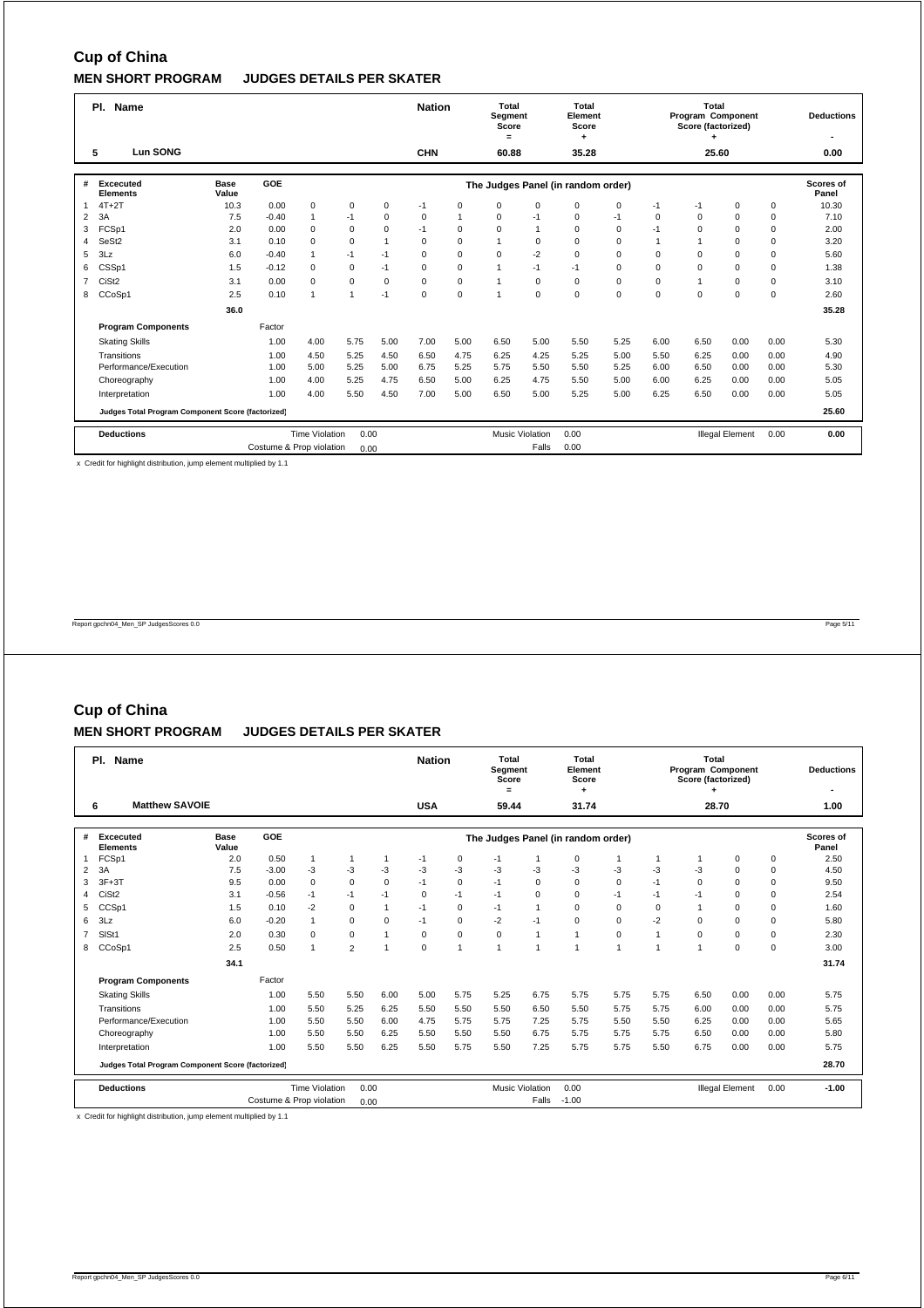|                | PI.<br><b>Name</b>                                |                      |                          |                       |                |                |             |             |              | Total<br>Segment<br>Score | Total<br>Element<br>Score          |             |             | <b>Total</b><br>Program Component<br>Score (factorized) |                        |      | <b>Deductions</b>  |
|----------------|---------------------------------------------------|----------------------|--------------------------|-----------------------|----------------|----------------|-------------|-------------|--------------|---------------------------|------------------------------------|-------------|-------------|---------------------------------------------------------|------------------------|------|--------------------|
|                | Lun SONG<br>5                                     |                      |                          |                       |                |                | <b>CHN</b>  |             | 60.88        |                           | 35.28                              |             |             | 25.60                                                   |                        |      | 0.00               |
|                |                                                   |                      |                          |                       |                |                |             |             |              |                           |                                    |             |             |                                                         |                        |      |                    |
| #              | Excecuted<br><b>Elements</b>                      | <b>Base</b><br>Value | GOE                      |                       |                |                |             |             |              |                           | The Judges Panel (in random order) |             |             |                                                         |                        |      | Scores of<br>Panel |
| $\mathbf{1}$   | $4T+2T$                                           | 10.3                 | 0.00                     | $\mathbf 0$           | $\mathbf 0$    | $\mathbf 0$    | $-1$        | $\mathbf 0$ | 0            | $\mathbf 0$               | $\mathbf 0$                        | $\mathbf 0$ | $-1$        | $-1$                                                    | 0                      | 0    | 10.30              |
| 2              | 3A                                                | 7.5                  | $-0.40$                  | $\mathbf{1}$          | $-1$           | $\mathbf 0$    | $\mathbf 0$ | 1           | 0            | $-1$                      | $\mathbf 0$                        | $-1$        | $\mathbf 0$ | $\Omega$                                                | $\Omega$               | 0    | 7.10               |
| 3              | FCSp1                                             | 2.0                  | 0.00                     | $\mathbf 0$           | $\mathbf 0$    | $\Omega$       | $-1$        | $\Omega$    | 0            |                           | $\Omega$                           | $\Omega$    | $-1$        | $\Omega$                                                | $\Omega$               | 0    | 2.00               |
| 4              | SeSt <sub>2</sub>                                 | 3.1                  | 0.10                     | $\Omega$              | $\Omega$       | $\overline{1}$ | $\Omega$    | $\Omega$    | $\mathbf{1}$ | $\mathbf 0$               | $\Omega$                           | $\Omega$    |             |                                                         | $\Omega$               | 0    | 3.20               |
| 5              | 3Lz                                               | 6.0                  | $-0.40$                  | $\mathbf{1}$          | $-1$           | $-1$           | $\Omega$    | $\Omega$    | $\Omega$     | $-2$                      | $\Omega$                           | $\Omega$    | $\Omega$    | $\Omega$                                                | $\Omega$               | 0    | 5.60               |
| 6              | CSSp1                                             | 1.5                  | $-0.12$                  | $\mathbf 0$           | $\mathbf 0$    | $-1$           | $\mathbf 0$ | $\mathbf 0$ | $\mathbf{1}$ | $-1$                      | $-1$                               | $\Omega$    | $\Omega$    | $\Omega$                                                | $\Omega$               | 0    | 1.38               |
| $\overline{7}$ | CiSt <sub>2</sub>                                 | 3.1                  | 0.00                     | $\mathbf 0$           | $\mathbf 0$    | $\mathbf 0$    | $\mathbf 0$ | $\mathbf 0$ | $\mathbf{1}$ | $\mathbf 0$               | $\mathbf 0$                        | $\mathbf 0$ | $\mathbf 0$ |                                                         | $\Omega$               | 0    | 3.10               |
| 8              | CCoSp1                                            | 2.5                  | 0.10                     | $\mathbf{1}$          | $\overline{1}$ | $-1$           | $\mathbf 0$ | $\mathbf 0$ | 1            | $\mathbf 0$               | $\mathbf 0$                        | $\mathbf 0$ | $\Omega$    | $\Omega$                                                | $\Omega$               | 0    | 2.60               |
|                |                                                   | 36.0                 |                          |                       |                |                |             |             |              |                           |                                    |             |             |                                                         |                        |      | 35.28              |
|                | <b>Program Components</b>                         |                      | Factor                   |                       |                |                |             |             |              |                           |                                    |             |             |                                                         |                        |      |                    |
|                | <b>Skating Skills</b>                             |                      | 1.00                     | 4.00                  | 5.75           | 5.00           | 7.00        | 5.00        | 6.50         | 5.00                      | 5.50                               | 5.25        | 6.00        | 6.50                                                    | 0.00                   | 0.00 | 5.30               |
|                | Transitions                                       |                      | 1.00                     | 4.50                  | 5.25           | 4.50           | 6.50        | 4.75        | 6.25         | 4.25                      | 5.25                               | 5.00        | 5.50        | 6.25                                                    | 0.00                   | 0.00 | 4.90               |
|                | Performance/Execution                             |                      | 1.00                     | 5.00                  | 5.25           | 5.00           | 6.75        | 5.25        | 5.75         | 5.50                      | 5.50                               | 5.25        | 6.00        | 6.50                                                    | 0.00                   | 0.00 | 5.30               |
|                | Choreography                                      |                      | 1.00                     | 4.00                  | 5.25           | 4.75           | 6.50        | 5.00        | 6.25         | 4.75                      | 5.50                               | 5.00        | 6.00        | 6.25                                                    | 0.00                   | 0.00 | 5.05               |
|                | Interpretation                                    |                      | 1.00                     | 4.00                  | 5.50           | 4.50           | 7.00        | 5.00        | 6.50         | 5.00                      | 5.25                               | 5.00        | 6.25        | 6.50                                                    | 0.00                   | 0.00 | 5.05               |
|                | Judges Total Program Component Score (factorized) |                      |                          |                       |                |                |             |             |              |                           |                                    |             |             |                                                         |                        |      | 25.60              |
|                | <b>Deductions</b>                                 |                      |                          | <b>Time Violation</b> | 0.00           |                |             |             |              | <b>Music Violation</b>    | 0.00                               |             |             |                                                         | <b>Illegal Element</b> | 0.00 | 0.00               |
|                |                                                   |                      | Costume & Prop violation |                       | 0.00           |                |             |             |              | Falls                     | 0.00                               |             |             |                                                         |                        |      |                    |

x Credit for highlight distribution, jump element multiplied by 1.1

Report gpchn04\_Men\_SP JudgesScores 0.0 Page 5/11

# **Cup of China**

### **MEN SHORT PROGRAM JUDGES DETAILS PER SKATER**

|                | PI.<br>Name                                       |                      |                          |                       |                |                |             |             |                | Total<br>Segment<br>Score | Total<br>Element<br>Score          |                |              | Total<br>Program Component<br>Score (factorized) |                        |             | <b>Deductions</b>         |
|----------------|---------------------------------------------------|----------------------|--------------------------|-----------------------|----------------|----------------|-------------|-------------|----------------|---------------------------|------------------------------------|----------------|--------------|--------------------------------------------------|------------------------|-------------|---------------------------|
|                | <b>Matthew SAVOIE</b><br>6                        |                      |                          |                       |                |                | <b>USA</b>  |             | $=$<br>59.44   |                           | 31.74                              |                |              | 28.70                                            |                        |             | 1.00                      |
| #              | <b>Excecuted</b><br><b>Elements</b>               | <b>Base</b><br>Value | GOE                      |                       |                |                |             |             |                |                           | The Judges Panel (in random order) |                |              |                                                  |                        |             | <b>Scores of</b><br>Panel |
| 1              | FCSp1                                             | 2.0                  | 0.50                     | $\mathbf{1}$          | 1              | 1              | $-1$        | 0           | $-1$           |                           | $\mathbf 0$                        | 1              | $\mathbf{1}$ |                                                  | 0                      | $\mathbf 0$ | 2.50                      |
| 2              | 3A                                                | 7.5                  | $-3.00$                  | $-3$                  | $-3$           | $-3$           | $-3$        | -3          | $-3$           | $-3$                      | $-3$                               | $-3$           | -3           | -3                                               | $\Omega$               | $\mathbf 0$ | 4.50                      |
| 3              | $3F+3T$                                           | 9.5                  | 0.00                     | $\Omega$              | $\Omega$       | $\Omega$       | $-1$        | $\mathbf 0$ | $-1$           | $\Omega$                  | $\Omega$                           | $\Omega$       | $-1$         | $\Omega$                                         | $\Omega$               | $\mathbf 0$ | 9.50                      |
| 4              | CiSt <sub>2</sub>                                 | 3.1                  | $-0.56$                  | $-1$                  | $-1$           | $-1$           | $\mathbf 0$ | $-1$        | $-1$           | $\Omega$                  | $\mathbf 0$                        | $-1$           | $-1$         | $-1$                                             | $\mathbf 0$            | $\mathbf 0$ | 2.54                      |
| 5              | CCSp1                                             | 1.5                  | 0.10                     | $-2$                  | 0              | $\mathbf{1}$   | $-1$        | $\mathbf 0$ | $-1$           |                           | $\Omega$                           | $\Omega$       | $\Omega$     | $\overline{1}$                                   | $\mathbf 0$            | $\mathbf 0$ | 1.60                      |
| 6              | 3Lz                                               | 6.0                  | $-0.20$                  | $\mathbf{1}$          | 0              | $\Omega$       | $-1$        | $\mathbf 0$ | $-2$           | $-1$                      | $\Omega$                           | $\Omega$       | $-2$         | $\Omega$                                         | $\Omega$               | $\mathbf 0$ | 5.80                      |
| $\overline{7}$ | SISt1                                             | 2.0                  | 0.30                     | $\Omega$              | 0              | $\overline{1}$ | $\Omega$    | $\mathbf 0$ | $\mathbf 0$    | $\overline{ }$            | 1                                  | $\Omega$       | $\mathbf{1}$ | $\Omega$                                         | $\Omega$               | $\mathbf 0$ | 2.30                      |
| 8              | CCoSp1                                            | 2.5                  | 0.50                     | 1                     | $\overline{2}$ | $\overline{1}$ | 0           | 1           | $\overline{1}$ |                           | 1                                  | $\overline{1}$ |              | 1                                                | $\mathbf 0$            | $\mathbf 0$ | 3.00                      |
|                |                                                   | 34.1                 |                          |                       |                |                |             |             |                |                           |                                    |                |              |                                                  |                        |             | 31.74                     |
|                | <b>Program Components</b>                         |                      | Factor                   |                       |                |                |             |             |                |                           |                                    |                |              |                                                  |                        |             |                           |
|                | <b>Skating Skills</b>                             |                      | 1.00                     | 5.50                  | 5.50           | 6.00           | 5.00        | 5.75        | 5.25           | 6.75                      | 5.75                               | 5.75           | 5.75         | 6.50                                             | 0.00                   | 0.00        | 5.75                      |
|                | Transitions                                       |                      | 1.00                     | 5.50                  | 5.25           | 6.25           | 5.50        | 5.50        | 5.50           | 6.50                      | 5.50                               | 5.75           | 5.75         | 6.00                                             | 0.00                   | 0.00        | 5.75                      |
|                | Performance/Execution                             |                      | 1.00                     | 5.50                  | 5.50           | 6.00           | 4.75        | 5.75        | 5.75           | 7.25                      | 5.75                               | 5.50           | 5.50         | 6.25                                             | 0.00                   | 0.00        | 5.65                      |
|                | Choreography                                      |                      | 1.00                     | 5.50                  | 5.50           | 6.25           | 5.50        | 5.50        | 5.50           | 6.75                      | 5.75                               | 5.75           | 5.75         | 6.50                                             | 0.00                   | 0.00        | 5.80                      |
|                | Interpretation                                    |                      | 1.00                     | 5.50                  | 5.50           | 6.25           | 5.50        | 5.75        | 5.50           | 7.25                      | 5.75                               | 5.75           | 5.50         | 6.75                                             | 0.00                   | 0.00        | 5.75                      |
|                | Judges Total Program Component Score (factorized) |                      |                          |                       |                |                |             |             |                |                           |                                    |                |              |                                                  |                        |             | 28.70                     |
|                | <b>Deductions</b>                                 |                      |                          | <b>Time Violation</b> | 0.00           |                |             |             |                | <b>Music Violation</b>    | 0.00                               |                |              |                                                  | <b>Illegal Element</b> | 0.00        | $-1.00$                   |
|                |                                                   |                      | Costume & Prop violation | 0.00                  |                |                |             | Falls       | $-1.00$        |                           |                                    |                |              |                                                  |                        |             |                           |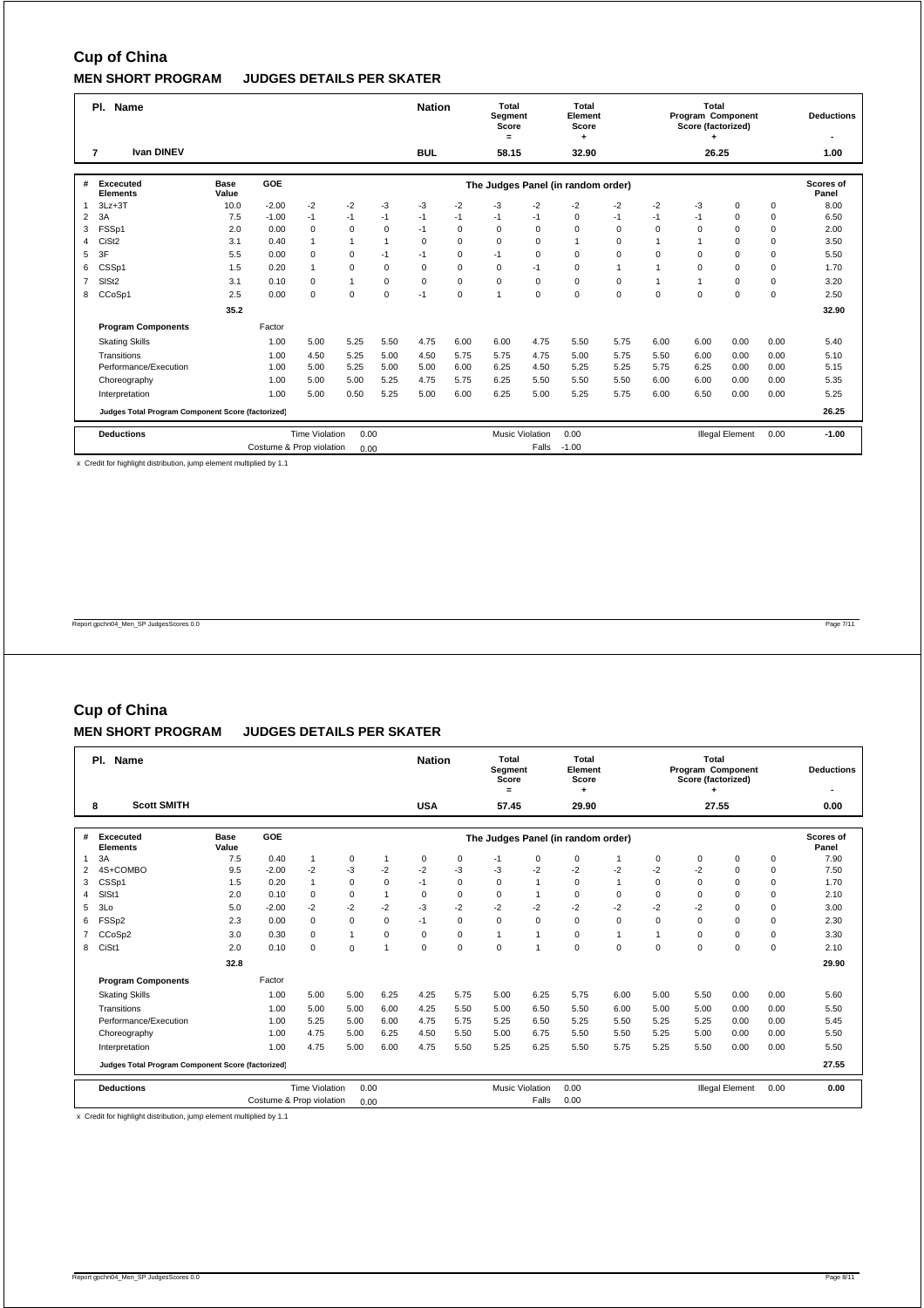|                | PI.<br>Name                                       |                      |                          |                       |              |                | <b>Nation</b> |             | Total<br>Segment<br>Score<br>$=$ |                        | Total<br>Element<br>Score<br>٠     |              |              | Total<br>Program Component<br>Score (factorized) |                        |      | <b>Deductions</b>  |
|----------------|---------------------------------------------------|----------------------|--------------------------|-----------------------|--------------|----------------|---------------|-------------|----------------------------------|------------------------|------------------------------------|--------------|--------------|--------------------------------------------------|------------------------|------|--------------------|
|                | <b>Ivan DINEV</b><br>$\overline{7}$               |                      |                          |                       |              |                | <b>BUL</b>    |             | 58.15                            |                        | 32.90                              |              |              | 26.25                                            |                        |      | 1.00               |
| #              | <b>Excecuted</b><br><b>Elements</b>               | <b>Base</b><br>Value | <b>GOE</b>               |                       |              |                |               |             |                                  |                        | The Judges Panel (in random order) |              |              |                                                  |                        |      | Scores of<br>Panel |
| $\mathbf{1}$   | $3Lz + 3T$                                        | 10.0                 | $-2.00$                  | $-2$                  | $-2$         | $-3$           | $-3$          | $-2$        | -3                               | $-2$                   | $-2$                               | $-2$         | $-2$         | $-3$                                             | $\Omega$               | 0    | 8.00               |
| $\overline{2}$ | 3A                                                | 7.5                  | $-1.00$                  | $-1$                  | $-1$         | $-1$           | $-1$          | $-1$        | $-1$                             | $-1$                   | $\mathbf 0$                        | $-1$         | $-1$         | $-1$                                             | $\Omega$               | 0    | 6.50               |
| 3              | FSSp1                                             | 2.0                  | 0.00                     | $\mathbf 0$           | $\mathbf 0$  | $\Omega$       | $-1$          | $\mathbf 0$ | 0                                | $\Omega$               | $\Omega$                           | $\Omega$     | $\Omega$     | $\Omega$                                         | $\Omega$               | 0    | 2.00               |
| 4              | CiSt <sub>2</sub>                                 | 3.1                  | 0.40                     | $\mathbf{1}$          | $\mathbf{1}$ | $\overline{1}$ | $\Omega$      | $\Omega$    | 0                                | $\Omega$               | $\overline{1}$                     | $\Omega$     |              |                                                  | $\Omega$               | 0    | 3.50               |
| 5              | 3F                                                | 5.5                  | 0.00                     | $\mathbf 0$           | $\mathbf 0$  | $-1$           | $-1$          | $\mathbf 0$ | $-1$                             | $\mathbf 0$            | $\Omega$                           | $\Omega$     | $\Omega$     | $\Omega$                                         | $\Omega$               | 0    | 5.50               |
| 6              | CSSp1                                             | 1.5                  | 0.20                     | $\mathbf{1}$          | $\mathbf 0$  | $\Omega$       | $\mathbf 0$   | $\mathbf 0$ | 0                                | $-1$                   | $\mathbf 0$                        | $\mathbf{1}$ |              | $\Omega$                                         | $\Omega$               | 0    | 1.70               |
| $\overline{7}$ | SIS <sub>t2</sub>                                 | 3.1                  | 0.10                     | $\mathbf 0$           | $\mathbf{1}$ | $\Omega$       | $\Omega$      | $\mathbf 0$ | 0                                | $\mathbf 0$            | $\mathbf 0$                        | $\mathbf 0$  | $\mathbf{1}$ | 1                                                | $\Omega$               | 0    | 3.20               |
| 8              | CCoSp1                                            | 2.5                  | 0.00                     | $\mathbf 0$           | $\Omega$     | $\Omega$       | $-1$          | $\mathbf 0$ | 1                                | $\Omega$               | $\mathbf 0$                        | $\mathbf 0$  | $\Omega$     | $\Omega$                                         | $\Omega$               | 0    | 2.50               |
|                |                                                   | 35.2                 |                          |                       |              |                |               |             |                                  |                        |                                    |              |              |                                                  |                        |      | 32.90              |
|                | <b>Program Components</b>                         |                      | Factor                   |                       |              |                |               |             |                                  |                        |                                    |              |              |                                                  |                        |      |                    |
|                | <b>Skating Skills</b>                             |                      | 1.00                     | 5.00                  | 5.25         | 5.50           | 4.75          | 6.00        | 6.00                             | 4.75                   | 5.50                               | 5.75         | 6.00         | 6.00                                             | 0.00                   | 0.00 | 5.40               |
|                | Transitions                                       |                      | 1.00                     | 4.50                  | 5.25         | 5.00           | 4.50          | 5.75        | 5.75                             | 4.75                   | 5.00                               | 5.75         | 5.50         | 6.00                                             | 0.00                   | 0.00 | 5.10               |
|                | Performance/Execution                             |                      | 1.00                     | 5.00                  | 5.25         | 5.00           | 5.00          | 6.00        | 6.25                             | 4.50                   | 5.25                               | 5.25         | 5.75         | 6.25                                             | 0.00                   | 0.00 | 5.15               |
|                | Choreography                                      |                      | 1.00                     | 5.00                  | 5.00         | 5.25           | 4.75          | 5.75        | 6.25                             | 5.50                   | 5.50                               | 5.50         | 6.00         | 6.00                                             | 0.00                   | 0.00 | 5.35               |
|                | Interpretation                                    |                      | 1.00                     | 5.00                  | 0.50         | 5.25           | 5.00          | 6.00        | 6.25                             | 5.00                   | 5.25                               | 5.75         | 6.00         | 6.50                                             | 0.00                   | 0.00 | 5.25               |
|                | Judges Total Program Component Score (factorized) |                      |                          |                       |              |                |               |             |                                  |                        |                                    |              |              |                                                  |                        |      | 26.25              |
|                | <b>Deductions</b>                                 |                      |                          | <b>Time Violation</b> | 0.00         |                |               |             |                                  | <b>Music Violation</b> | 0.00                               |              |              |                                                  | <b>Illegal Element</b> | 0.00 | $-1.00$            |
|                |                                                   |                      | Costume & Prop violation |                       | 0.00         |                |               |             |                                  | Falls                  | $-1.00$                            |              |              |                                                  |                        |      |                    |

x Credit for highlight distribution, jump element multiplied by 1.1

Report gpchn04\_Men\_SP JudgesScores 0.0 Page 7/11

# **Cup of China**

### **MEN SHORT PROGRAM JUDGES DETAILS PER SKATER**

|                | PI.<br>Name                                       |                      |                          |                       |              |                | <b>Nation</b> |             | Total<br>Segment<br>Score<br>$=$ |                        | Total<br>Element<br>Score          |              |                | Total<br>Program Component<br>Score (factorized) |                        |             | <b>Deductions</b>         |
|----------------|---------------------------------------------------|----------------------|--------------------------|-----------------------|--------------|----------------|---------------|-------------|----------------------------------|------------------------|------------------------------------|--------------|----------------|--------------------------------------------------|------------------------|-------------|---------------------------|
|                | <b>Scott SMITH</b><br>8                           |                      |                          |                       |              |                | <b>USA</b>    |             | 57.45                            |                        | 29.90                              |              |                | 27.55                                            |                        |             | 0.00                      |
| #              | <b>Excecuted</b><br><b>Elements</b>               | <b>Base</b><br>Value | GOE                      |                       |              |                |               |             |                                  |                        | The Judges Panel (in random order) |              |                |                                                  |                        |             | <b>Scores of</b><br>Panel |
| 1              | 3A                                                | 7.5                  | 0.40                     | $\mathbf{1}$          | $\mathbf 0$  | $\mathbf{1}$   | 0             | 0           | $-1$                             | $\mathbf 0$            | 0                                  | 1            | $\mathbf 0$    | $\mathbf 0$                                      | $\mathbf 0$            | $\mathbf 0$ | 7.90                      |
| 2              | 4S+COMBO                                          | 9.5                  | $-2.00$                  | $-2$                  | $-3$         | $-2$           | $-2$          | $-3$        | $-3$                             | $-2$                   | $-2$                               | $-2$         | $-2$           | $-2$                                             | $\Omega$               | $\mathbf 0$ | 7.50                      |
| 3              | CSSp1                                             | 1.5                  | 0.20                     | 1                     | $\Omega$     | $\Omega$       | $-1$          | $\mathbf 0$ | $\mathbf 0$                      |                        | $\Omega$                           | 1            | $\Omega$       | $\Omega$                                         | $\Omega$               | $\mathbf 0$ | 1.70                      |
| 4              | SISt1                                             | 2.0                  | 0.10                     | $\mathbf 0$           | $\mathbf 0$  | $\overline{1}$ | $\mathbf 0$   | $\mathbf 0$ | $\mathbf 0$                      |                        | $\mathbf 0$                        | $\mathbf 0$  | $\Omega$       | $\mathbf 0$                                      | $\mathbf 0$            | $\mathbf 0$ | 2.10                      |
| 5              | 3Lo                                               | 5.0                  | $-2.00$                  | $-2$                  | $-2$         | $-2$           | $-3$          | $-2$        | $-2$                             | $-2$                   | $-2$                               | $-2$         | $-2$           | $-2$                                             | $\Omega$               | $\mathbf 0$ | 3.00                      |
| 6              | FSS <sub>p2</sub>                                 | 2.3                  | 0.00                     | $\Omega$              | $\mathbf 0$  | $\Omega$       | $-1$          | $\mathbf 0$ | $\mathbf 0$                      | $\Omega$               | $\Omega$                           | $\Omega$     | $\Omega$       | $\Omega$                                         | $\Omega$               | $\mathbf 0$ | 2.30                      |
| $\overline{7}$ | CCoSp2                                            | 3.0                  | 0.30                     | $\Omega$              | $\mathbf{1}$ | $\Omega$       | $\Omega$      | $\mathbf 0$ | $\mathbf{1}$                     |                        | $\Omega$                           | $\mathbf{1}$ | $\overline{1}$ | $\Omega$                                         | $\Omega$               | $\mathbf 0$ | 3.30                      |
| 8              | CiSt1                                             | 2.0                  | 0.10                     | $\mathbf 0$           | $\mathbf 0$  | 1              | 0             | 0           | $\mathbf 0$                      |                        | $\mathbf 0$                        | $\mathbf 0$  | $\mathbf 0$    | $\mathbf 0$                                      | $\mathbf 0$            | $\mathbf 0$ | 2.10                      |
|                |                                                   | 32.8                 |                          |                       |              |                |               |             |                                  |                        |                                    |              |                |                                                  |                        |             | 29.90                     |
|                | <b>Program Components</b>                         |                      | Factor                   |                       |              |                |               |             |                                  |                        |                                    |              |                |                                                  |                        |             |                           |
|                | <b>Skating Skills</b>                             |                      | 1.00                     | 5.00                  | 5.00         | 6.25           | 4.25          | 5.75        | 5.00                             | 6.25                   | 5.75                               | 6.00         | 5.00           | 5.50                                             | 0.00                   | 0.00        | 5.60                      |
|                | Transitions                                       |                      | 1.00                     | 5.00                  | 5.00         | 6.00           | 4.25          | 5.50        | 5.00                             | 6.50                   | 5.50                               | 6.00         | 5.00           | 5.00                                             | 0.00                   | 0.00        | 5.50                      |
|                | Performance/Execution                             |                      | 1.00                     | 5.25                  | 5.00         | 6.00           | 4.75          | 5.75        | 5.25                             | 6.50                   | 5.25                               | 5.50         | 5.25           | 5.25                                             | 0.00                   | 0.00        | 5.45                      |
|                | Choreography                                      |                      | 1.00                     | 4.75                  | 5.00         | 6.25           | 4.50          | 5.50        | 5.00                             | 6.75                   | 5.50                               | 5.50         | 5.25           | 5.00                                             | 0.00                   | 0.00        | 5.50                      |
|                | Interpretation                                    |                      | 1.00                     | 4.75                  | 5.00         | 6.00           | 4.75          | 5.50        | 5.25                             | 6.25                   | 5.50                               | 5.75         | 5.25           | 5.50                                             | 0.00                   | 0.00        | 5.50                      |
|                | Judges Total Program Component Score (factorized) |                      |                          |                       |              |                |               |             |                                  |                        |                                    |              |                |                                                  |                        |             | 27.55                     |
|                | <b>Deductions</b>                                 |                      |                          | <b>Time Violation</b> | 0.00         |                |               |             |                                  | <b>Music Violation</b> | 0.00                               |              |                |                                                  | <b>Illegal Element</b> | 0.00        | 0.00                      |
|                |                                                   |                      | Costume & Prop violation |                       | 0.00         |                |               |             |                                  | Falls                  | 0.00                               |              |                |                                                  |                        |             |                           |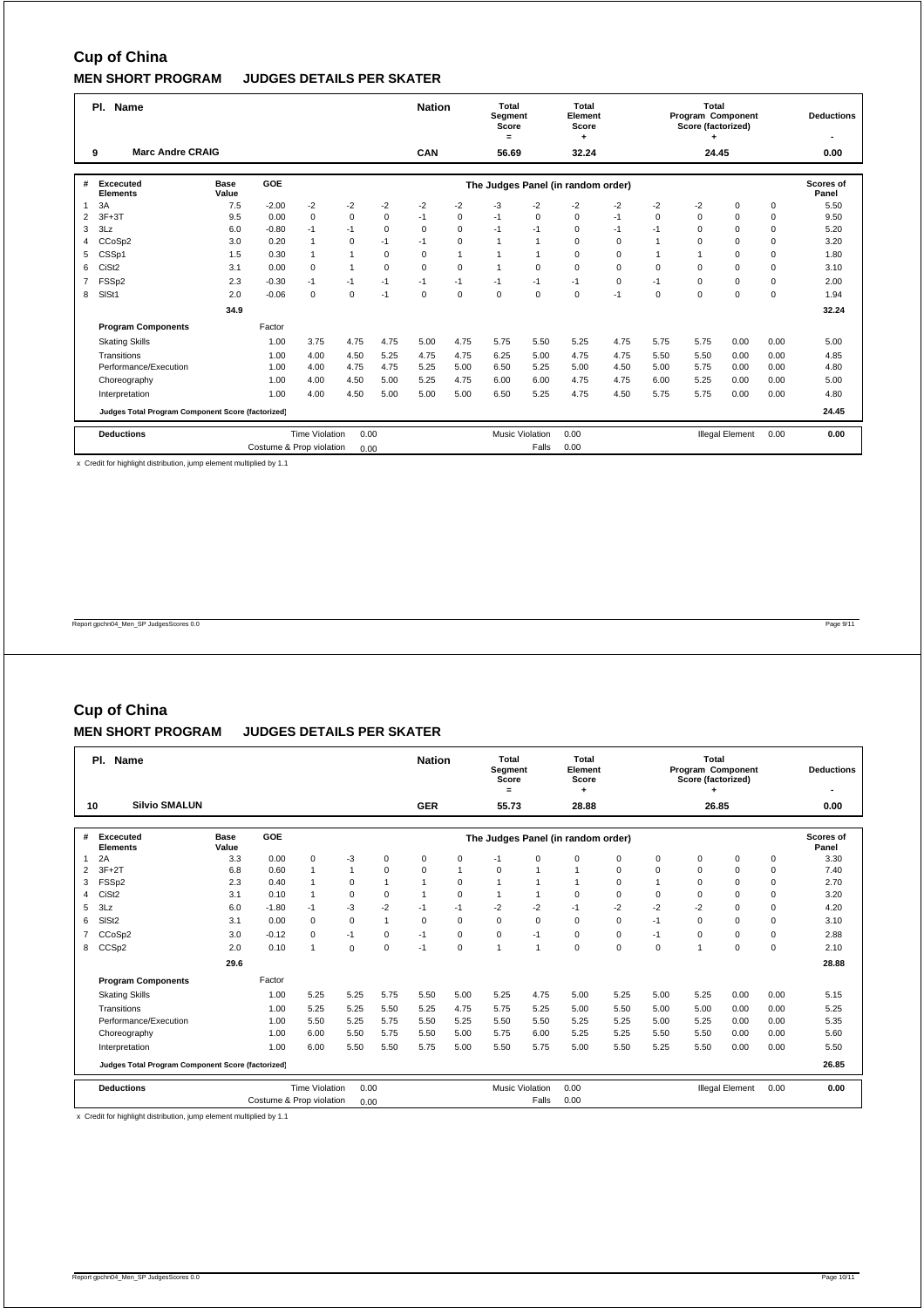|                | PI.<br>Name                                       |             |                          |                       |                |             | <b>Nation</b> |             | Total<br>Segment<br>Score<br>$=$ |                        | Total<br>Element<br>Score<br>٠     |             |                | Total<br>Program Component<br>Score (factorized) |                        |      | <b>Deductions</b> |
|----------------|---------------------------------------------------|-------------|--------------------------|-----------------------|----------------|-------------|---------------|-------------|----------------------------------|------------------------|------------------------------------|-------------|----------------|--------------------------------------------------|------------------------|------|-------------------|
|                | <b>Marc Andre CRAIG</b><br>9                      |             |                          |                       |                |             | CAN           |             | 56.69                            |                        | 32.24                              |             |                | 24.45                                            |                        |      | 0.00              |
| #              | Excecuted                                         | <b>Base</b> | GOE                      |                       |                |             |               |             |                                  |                        |                                    |             |                |                                                  |                        |      | Scores of         |
|                | <b>Elements</b>                                   | Value       |                          |                       |                |             |               |             |                                  |                        | The Judges Panel (in random order) |             |                |                                                  |                        |      | Panel             |
| 1              | 3A                                                | 7.5         | $-2.00$                  | $-2$                  | $-2$           | $-2$        | $-2$          | $-2$        | $-3$                             | $-2$                   | $-2$                               | $-2$        | $-2$           | $-2$                                             | $\Omega$               | 0    | 5.50              |
| $\overline{2}$ | $3F+3T$                                           | 9.5         | 0.00                     | $\mathbf 0$           | $\mathbf 0$    | $\mathbf 0$ | $-1$          | $\mathbf 0$ | $-1$                             | $\mathbf 0$            | $\mathbf 0$                        | $-1$        | $\Omega$       | $\mathbf 0$                                      | $\Omega$               | 0    | 9.50              |
| 3              | 3Lz                                               | 6.0         | $-0.80$                  | $-1$                  | $-1$           | $\Omega$    | $\mathbf 0$   | $\mathbf 0$ | $-1$                             | $-1$                   | $\mathbf 0$                        | $-1$        | $-1$           | $\Omega$                                         | $\Omega$               | 0    | 5.20              |
| 4              | CCoSp2                                            | 3.0         | 0.20                     | $\mathbf{1}$          | $\mathbf 0$    | $-1$        | $-1$          | $\mathbf 0$ | $\mathbf{1}$                     | 1                      | $\Omega$                           | $\mathbf 0$ |                | $\Omega$                                         | $\Omega$               | 0    | 3.20              |
| 5              | CSSp1                                             | 1.5         | 0.30                     | $\mathbf{1}$          | $\overline{1}$ | $\Omega$    | $\Omega$      | 1           | $\mathbf{1}$                     | 1                      | $\Omega$                           | $\mathbf 0$ | $\overline{1}$ |                                                  | $\Omega$               | 0    | 1.80              |
| 6              | CiSt <sub>2</sub>                                 | 3.1         | 0.00                     | $\mathbf 0$           | $\overline{1}$ | $\Omega$    | $\mathbf 0$   | $\mathbf 0$ | $\mathbf{1}$                     | $\mathbf 0$            | $\mathbf 0$                        | $\mathbf 0$ | $\mathbf 0$    | $\Omega$                                         | $\Omega$               | 0    | 3.10              |
| 7              | FSSp2                                             | 2.3         | $-0.30$                  | $-1$                  | $-1$           | $-1$        | $-1$          | $-1$        | $-1$                             | $-1$                   | $-1$                               | $\mathbf 0$ | $-1$           | $\Omega$                                         | $\Omega$               | 0    | 2.00              |
| 8              | SISt1                                             | 2.0         | $-0.06$                  | $\mathbf 0$           | $\mathbf 0$    | $-1$        | $\mathbf 0$   | $\mathbf 0$ | 0                                | $\mathbf 0$            | $\mathbf 0$                        | $-1$        | $\Omega$       | $\Omega$                                         | $\Omega$               | 0    | 1.94              |
|                |                                                   | 34.9        |                          |                       |                |             |               |             |                                  |                        |                                    |             |                |                                                  |                        |      | 32.24             |
|                | <b>Program Components</b>                         |             | Factor                   |                       |                |             |               |             |                                  |                        |                                    |             |                |                                                  |                        |      |                   |
|                | <b>Skating Skills</b>                             |             | 1.00                     | 3.75                  | 4.75           | 4.75        | 5.00          | 4.75        | 5.75                             | 5.50                   | 5.25                               | 4.75        | 5.75           | 5.75                                             | 0.00                   | 0.00 | 5.00              |
|                | Transitions                                       |             | 1.00                     | 4.00                  | 4.50           | 5.25        | 4.75          | 4.75        | 6.25                             | 5.00                   | 4.75                               | 4.75        | 5.50           | 5.50                                             | 0.00                   | 0.00 | 4.85              |
|                | Performance/Execution                             |             | 1.00                     | 4.00                  | 4.75           | 4.75        | 5.25          | 5.00        | 6.50                             | 5.25                   | 5.00                               | 4.50        | 5.00           | 5.75                                             | 0.00                   | 0.00 | 4.80              |
|                | Choreography                                      |             | 1.00                     | 4.00                  | 4.50           | 5.00        | 5.25          | 4.75        | 6.00                             | 6.00                   | 4.75                               | 4.75        | 6.00           | 5.25                                             | 0.00                   | 0.00 | 5.00              |
|                | Interpretation                                    |             | 1.00                     | 4.00                  | 4.50           | 5.00        | 5.00          | 5.00        | 6.50                             | 5.25                   | 4.75                               | 4.50        | 5.75           | 5.75                                             | 0.00                   | 0.00 | 4.80              |
|                | Judges Total Program Component Score (factorized) |             |                          |                       |                |             |               |             |                                  |                        |                                    |             |                |                                                  |                        |      | 24.45             |
|                | <b>Deductions</b>                                 |             |                          | <b>Time Violation</b> | 0.00           |             |               |             |                                  | <b>Music Violation</b> | 0.00                               |             |                |                                                  | <b>Illegal Element</b> | 0.00 | 0.00              |
|                |                                                   |             | Costume & Prop violation |                       | 0.00           |             |               |             |                                  | Falls                  | 0.00                               |             |                |                                                  |                        |      |                   |

x Credit for highlight distribution, jump element multiplied by 1.1

Report gpchn04\_Men\_SP JudgesScores 0.0 Page 9/11

# **Cup of China**

### **MEN SHORT PROGRAM JUDGES DETAILS PER SKATER**

|                | PI.<br>Name                                       |                      |                          |                       |              |                |              |                | Total<br>Segment<br>Score<br>$=$ |                        | Total<br>Element<br>Score          |             |             | Total<br>Program Component<br>Score (factorized) |                        |             | <b>Deductions</b>         |
|----------------|---------------------------------------------------|----------------------|--------------------------|-----------------------|--------------|----------------|--------------|----------------|----------------------------------|------------------------|------------------------------------|-------------|-------------|--------------------------------------------------|------------------------|-------------|---------------------------|
|                | <b>Silvio SMALUN</b><br>10                        |                      |                          |                       |              |                | <b>GER</b>   |                | 55.73                            |                        | 28.88                              |             |             | 26.85                                            |                        |             | 0.00                      |
| #              | <b>Excecuted</b><br><b>Elements</b>               | <b>Base</b><br>Value | GOE                      |                       |              |                |              |                |                                  |                        | The Judges Panel (in random order) |             |             |                                                  |                        |             | <b>Scores of</b><br>Panel |
| 1              | 2A                                                | 3.3                  | 0.00                     | $\mathbf 0$           | -3           | 0              | 0            | 0              | $-1$                             | $\Omega$               | $\Omega$                           | $\mathbf 0$ | 0           | $\mathbf 0$                                      | $\mathbf 0$            | 0           | 3.30                      |
| 2              | $3F+2T$                                           | 6.8                  | 0.60                     | $\mathbf{1}$          | $\mathbf{1}$ | $\Omega$       | $\Omega$     | $\overline{1}$ | $\mathbf 0$                      |                        | 1                                  | $\Omega$    | $\Omega$    | $\Omega$                                         | 0                      | $\mathbf 0$ | 7.40                      |
| 3              | FSS <sub>p2</sub>                                 | 2.3                  | 0.40                     | $\blacktriangleleft$  | $\mathbf 0$  | 1              | $\mathbf{1}$ | $\mathbf 0$    | $\overline{1}$                   |                        |                                    | $\Omega$    |             | $\Omega$                                         | $\Omega$               | $\mathbf 0$ | 2.70                      |
| 4              | CiSt <sub>2</sub>                                 | 3.1                  | 0.10                     | $\mathbf{1}$          | $\mathbf 0$  | $\mathbf 0$    | 1            | $\mathbf 0$    | $\overline{1}$                   |                        | $\mathbf 0$                        | $\mathbf 0$ | $\mathbf 0$ | $\mathbf 0$                                      | $\mathbf 0$            | $\mathbf 0$ | 3.20                      |
| 5              | 3Lz                                               | 6.0                  | $-1.80$                  | $-1$                  | $-3$         | $-2$           | $-1$         | $-1$           | $-2$                             | $-2$                   | $-1$                               | $-2$        | $-2$        | $-2$                                             | $\Omega$               | $\mathbf 0$ | 4.20                      |
| 6              | SIS <sub>t2</sub>                                 | 3.1                  | 0.00                     | $\Omega$              | $\mathbf 0$  | $\overline{1}$ | $\Omega$     | $\mathbf 0$    | $\mathbf 0$                      | $\Omega$               | $\Omega$                           | $\Omega$    | $-1$        | $\Omega$                                         | $\Omega$               | $\mathbf 0$ | 3.10                      |
| $\overline{7}$ | CCoSp2                                            | 3.0                  | $-0.12$                  | $\Omega$              | $-1$         | $\Omega$       | $-1$         | $\mathbf 0$    | $\mathbf 0$                      | $-1$                   | $\Omega$                           | $\Omega$    | $-1$        | $\mathbf 0$                                      | $\Omega$               | $\mathbf 0$ | 2.88                      |
| 8              | CCS <sub>p2</sub>                                 | 2.0                  | 0.10                     | 1                     | $\mathbf 0$  | $\mathbf 0$    | $-1$         | 0              | $\overline{1}$                   |                        | $\Omega$                           | $\mathbf 0$ | $\mathbf 0$ | $\overline{1}$                                   | $\mathbf 0$            | $\mathbf 0$ | 2.10                      |
|                |                                                   | 29.6                 |                          |                       |              |                |              |                |                                  |                        |                                    |             |             |                                                  |                        |             | 28.88                     |
|                | <b>Program Components</b>                         |                      | Factor                   |                       |              |                |              |                |                                  |                        |                                    |             |             |                                                  |                        |             |                           |
|                | <b>Skating Skills</b>                             |                      | 1.00                     | 5.25                  | 5.25         | 5.75           | 5.50         | 5.00           | 5.25                             | 4.75                   | 5.00                               | 5.25        | 5.00        | 5.25                                             | 0.00                   | 0.00        | 5.15                      |
|                | Transitions                                       |                      | 1.00                     | 5.25                  | 5.25         | 5.50           | 5.25         | 4.75           | 5.75                             | 5.25                   | 5.00                               | 5.50        | 5.00        | 5.00                                             | 0.00                   | 0.00        | 5.25                      |
|                | Performance/Execution                             |                      | 1.00                     | 5.50                  | 5.25         | 5.75           | 5.50         | 5.25           | 5.50                             | 5.50                   | 5.25                               | 5.25        | 5.00        | 5.25                                             | 0.00                   | 0.00        | 5.35                      |
|                | Choreography                                      |                      | 1.00                     | 6.00                  | 5.50         | 5.75           | 5.50         | 5.00           | 5.75                             | 6.00                   | 5.25                               | 5.25        | 5.50        | 5.50                                             | 0.00                   | 0.00        | 5.60                      |
|                | Interpretation                                    |                      | 1.00                     | 6.00                  | 5.50         | 5.50           | 5.75         | 5.00           | 5.50                             | 5.75                   | 5.00                               | 5.50        | 5.25        | 5.50                                             | 0.00                   | 0.00        | 5.50                      |
|                | Judges Total Program Component Score (factorized) |                      |                          |                       |              |                |              |                |                                  |                        |                                    |             |             |                                                  |                        |             | 26.85                     |
|                | <b>Deductions</b>                                 |                      |                          | <b>Time Violation</b> | 0.00         |                |              |                |                                  | <b>Music Violation</b> | 0.00                               |             |             |                                                  | <b>Illegal Element</b> | 0.00        | 0.00                      |
|                |                                                   |                      | Costume & Prop violation |                       | 0.00         |                |              |                |                                  | Falls                  | 0.00                               |             |             |                                                  |                        |             |                           |